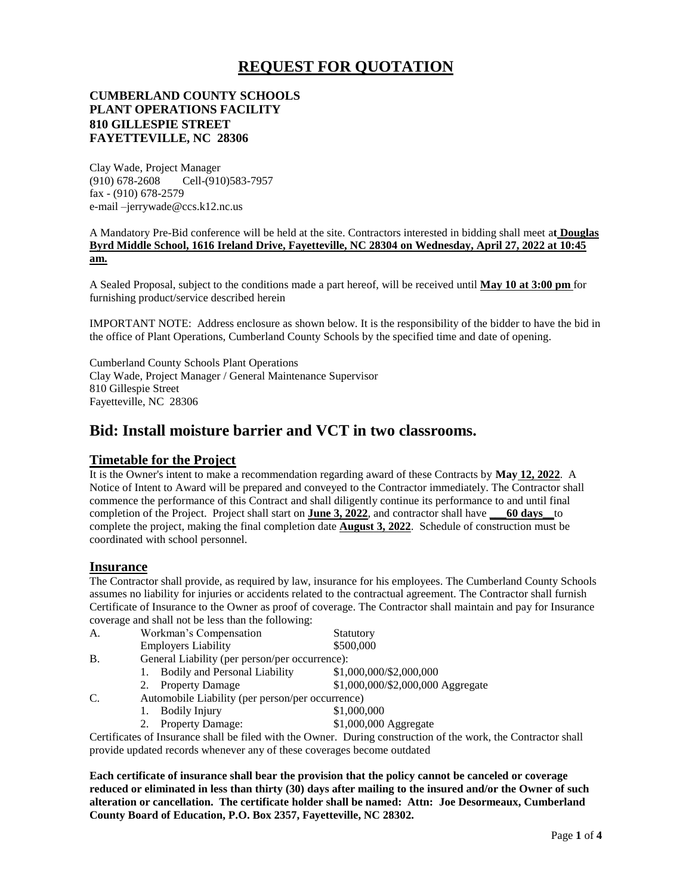# **REQUEST FOR QUOTATION**

### **CUMBERLAND COUNTY SCHOOLS PLANT OPERATIONS FACILITY 810 GILLESPIE STREET FAYETTEVILLE, NC 28306**

Clay Wade, Project Manager (910) 678-2608 Cell-(910)583-7957 fax - (910) 678-2579 e-mail –jerrywade@ccs.k12.nc.us

A Mandatory Pre-Bid conference will be held at the site. Contractors interested in bidding shall meet a**t Douglas Byrd Middle School, 1616 Ireland Drive, Fayetteville, NC 28304 on Wednesday, April 27, 2022 at 10:45 am.**

A Sealed Proposal, subject to the conditions made a part hereof, will be received until **May 10 at 3:00 pm** for furnishing product/service described herein

IMPORTANT NOTE: Address enclosure as shown below. It is the responsibility of the bidder to have the bid in the office of Plant Operations, Cumberland County Schools by the specified time and date of opening.

Cumberland County Schools Plant Operations Clay Wade, Project Manager / General Maintenance Supervisor 810 Gillespie Street Fayetteville, NC 28306

# **Bid: Install moisture barrier and VCT in two classrooms.**

### **Timetable for the Project**

It is the Owner's intent to make a recommendation regarding award of these Contracts by **May 12, 2022**. A Notice of Intent to Award will be prepared and conveyed to the Contractor immediately. The Contractor shall commence the performance of this Contract and shall diligently continue its performance to and until final completion of the Project. Project shall start on **June 3, 2022**, and contractor shall have **\_\_\_60 days\_\_**to complete the project, making the final completion date **August 3, 2022**. Schedule of construction must be coordinated with school personnel.

#### **Insurance**

The Contractor shall provide, as required by law, insurance for his employees. The Cumberland County Schools assumes no liability for injuries or accidents related to the contractual agreement. The Contractor shall furnish Certificate of Insurance to the Owner as proof of coverage. The Contractor shall maintain and pay for Insurance coverage and shall not be less than the following:

| A. | Workman's Compensation                           | Statutory                         |  |  |  |
|----|--------------------------------------------------|-----------------------------------|--|--|--|
|    | <b>Employers Liability</b>                       | \$500,000                         |  |  |  |
| B. | General Liability (per person/per occurrence):   |                                   |  |  |  |
|    | Bodily and Personal Liability                    | \$1,000,000/\$2,000,000           |  |  |  |
|    | <b>Property Damage</b><br>2.                     | \$1,000,000/\$2,000,000 Aggregate |  |  |  |
| C. | Automobile Liability (per person/per occurrence) |                                   |  |  |  |
|    | <b>Bodily Injury</b>                             | \$1,000,000                       |  |  |  |
|    | <b>Property Damage:</b>                          | \$1,000,000 Aggregate             |  |  |  |

Certificates of Insurance shall be filed with the Owner. During construction of the work, the Contractor shall provide updated records whenever any of these coverages become outdated

**Each certificate of insurance shall bear the provision that the policy cannot be canceled or coverage reduced or eliminated in less than thirty (30) days after mailing to the insured and/or the Owner of such alteration or cancellation. The certificate holder shall be named: Attn: Joe Desormeaux, Cumberland County Board of Education, P.O. Box 2357, Fayetteville, NC 28302.**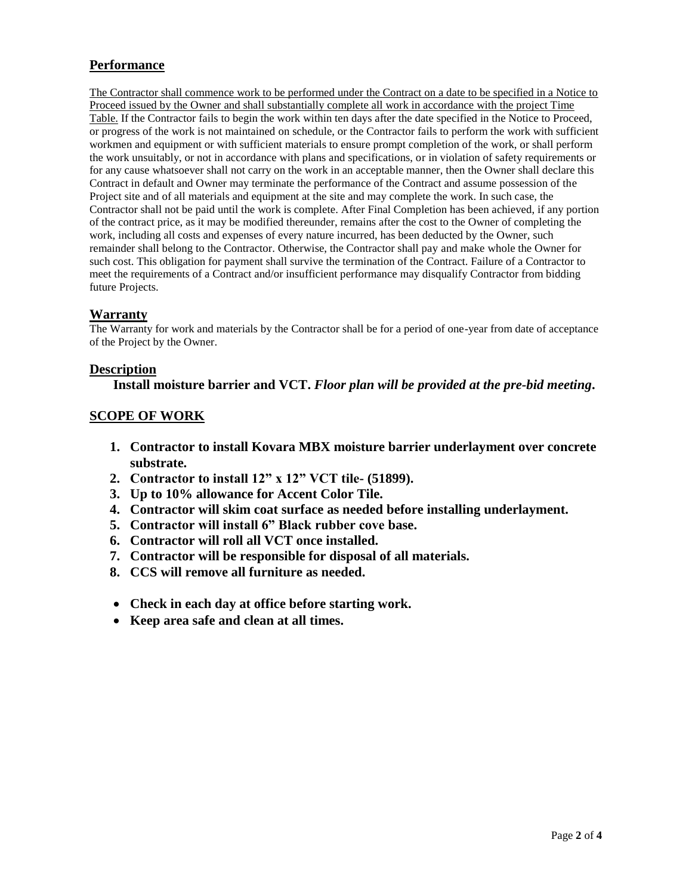# **Performance**

The Contractor shall commence work to be performed under the Contract on a date to be specified in a Notice to Proceed issued by the Owner and shall substantially complete all work in accordance with the project Time Table. If the Contractor fails to begin the work within ten days after the date specified in the Notice to Proceed, or progress of the work is not maintained on schedule, or the Contractor fails to perform the work with sufficient workmen and equipment or with sufficient materials to ensure prompt completion of the work, or shall perform the work unsuitably, or not in accordance with plans and specifications, or in violation of safety requirements or for any cause whatsoever shall not carry on the work in an acceptable manner, then the Owner shall declare this Contract in default and Owner may terminate the performance of the Contract and assume possession of the Project site and of all materials and equipment at the site and may complete the work. In such case, the Contractor shall not be paid until the work is complete. After Final Completion has been achieved, if any portion of the contract price, as it may be modified thereunder, remains after the cost to the Owner of completing the work, including all costs and expenses of every nature incurred, has been deducted by the Owner, such remainder shall belong to the Contractor. Otherwise, the Contractor shall pay and make whole the Owner for such cost. This obligation for payment shall survive the termination of the Contract. Failure of a Contractor to meet the requirements of a Contract and/or insufficient performance may disqualify Contractor from bidding future Projects.

# **Warranty**

The Warranty for work and materials by the Contractor shall be for a period of one-year from date of acceptance of the Project by the Owner.

### **Description**

### **Install moisture barrier and VCT.** *Floor plan will be provided at the pre-bid meeting***.**

# **SCOPE OF WORK**

- **1. Contractor to install Kovara MBX moisture barrier underlayment over concrete substrate.**
- **2. Contractor to install 12" x 12" VCT tile- (51899).**
- **3. Up to 10% allowance for Accent Color Tile.**
- **4. Contractor will skim coat surface as needed before installing underlayment.**
- **5. Contractor will install 6" Black rubber cove base.**
- **6. Contractor will roll all VCT once installed.**
- **7. Contractor will be responsible for disposal of all materials.**
- **8. CCS will remove all furniture as needed.**
- **Check in each day at office before starting work.**
- **Keep area safe and clean at all times.**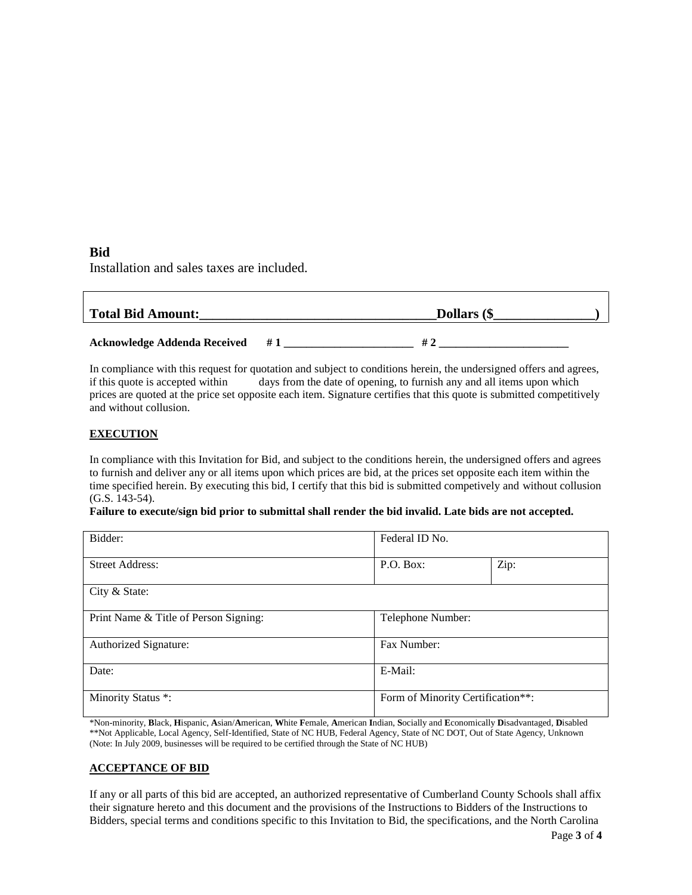#### **Bid**

Installation and sales taxes are included.

| <b>Total Bid Amount:</b>            |    | Dollars (\$ |
|-------------------------------------|----|-------------|
| <b>Acknowledge Addenda Received</b> | #1 |             |

In compliance with this request for quotation and subject to conditions herein, the undersigned offers and agrees, if this quote is accepted within days from the date of opening, to furnish any and all items upon which prices are quoted at the price set opposite each item. Signature certifies that this quote is submitted competitively and without collusion.

#### **EXECUTION**

In compliance with this Invitation for Bid, and subject to the conditions herein, the undersigned offers and agrees to furnish and deliver any or all items upon which prices are bid, at the prices set opposite each item within the time specified herein. By executing this bid, I certify that this bid is submitted competively and without collusion (G.S. 143-54).

#### **Failure to execute/sign bid prior to submittal shall render the bid invalid. Late bids are not accepted.**

| Bidder:                               | Federal ID No.                    |      |  |
|---------------------------------------|-----------------------------------|------|--|
| <b>Street Address:</b>                | P.O. Box:                         | Zip: |  |
| City & State:                         |                                   |      |  |
| Print Name & Title of Person Signing: | Telephone Number:                 |      |  |
| Authorized Signature:                 | Fax Number:                       |      |  |
| Date:                                 | E-Mail:                           |      |  |
| Minority Status *:                    | Form of Minority Certification**: |      |  |

\*Non-minority, **B**lack, **H**ispanic, **A**sian/**A**merican, **W**hite **F**emale, **A**merican **I**ndian, **S**ocially and **E**conomically **D**isadvantaged, **D**isabled \*\*Not Applicable, Local Agency, Self-Identified, State of NC HUB, Federal Agency, State of NC DOT, Out of State Agency, Unknown (Note: In July 2009, businesses will be required to be certified through the State of NC HUB)

### **ACCEPTANCE OF BID**

If any or all parts of this bid are accepted, an authorized representative of Cumberland County Schools shall affix their signature hereto and this document and the provisions of the Instructions to Bidders of the Instructions to Bidders, special terms and conditions specific to this Invitation to Bid, the specifications, and the North Carolina